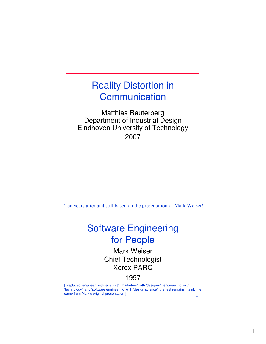#### Reality Distortion in **Communication**

Matthias Rauterberg Department of Industrial Design Eindhoven University of Technology 2007

1

Ten years after and still based on the presentation of Mark Weiser!

## Software Engineering for People

Mark Weiser Chief Technologist Xerox PARC

#### 1997

2 [I replaced 'engineer' with 'scientist', 'marketeer' with 'designer', 'engineering' with 'technology', and 'software engineering' with 'design science'; the rest remains mainly the same from Mark's original presentation!]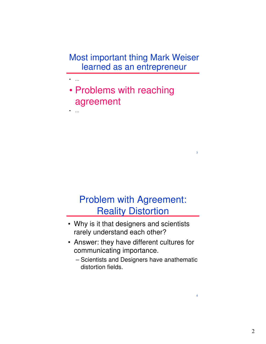Most important thing Mark Weiser learned as an entrepreneur

• Problems with reaching agreement

• …

• …

# Problem with Agreement: **Reality Distortion**

3

- Why is it that designers and scientists rarely understand each other?
- Answer: they have different cultures for communicating importance.
	- Scientists and Designers have anathematic distortion fields.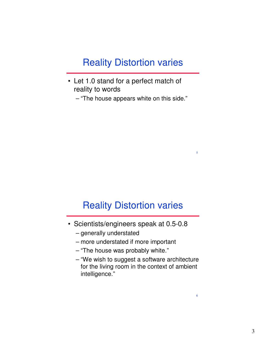### Reality Distortion varies

• Let 1.0 stand for a perfect match of reality to words

– "The house appears white on this side."

#### Reality Distortion varies

5

- Scientists/engineers speak at 0.5-0.8
	- generally understated
	- more understated if more important
	- "The house was probably white."
	- "We wish to suggest a software architecture for the living room in the context of ambient intelligence."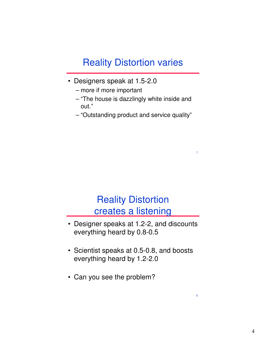# Reality Distortion varies

- Designers speak at 1.5-2.0
	- more if more important
	- "The house is dazzlingly white inside and out."
	- "Outstanding product and service quality"

7

8

# Reality Distortion creates a listening

- Designer speaks at 1.2-2, and discounts everything heard by 0.8-0.5
- Scientist speaks at 0.5-0.8, and boosts everything heard by 1.2-2.0
- Can you see the problem?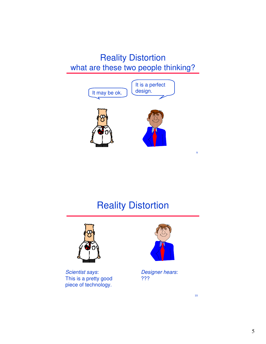#### Reality Distortion what are these two people thinking?



# Reality Distortion



Scientist says: This is a pretty good piece of technology.



Designer hears: ???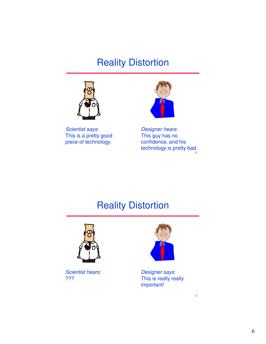# Reality Distortion



Scientist says: This is a pretty good piece of technology.



11 Designer hears: This guy has no confidence, and his technology is pretty bad.

# Reality Distortion



Scientist hears: ???



Designer says: This is really really important!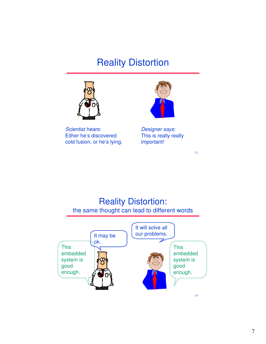# Reality Distortion



Scientist hears: Either he's discovered cold fusion, or he's lying.



Designer says: This is really really important!

13

#### Reality Distortion: the same thought can lead to different words

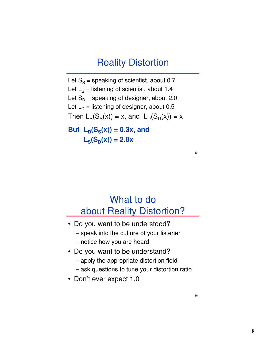## Reality Distortion

Let  $S_s$  = speaking of scientist, about 0.7 Let  $L_S$  = listening of scientist, about 1.4 Let  $S_D$  = speaking of designer, about 2.0 Let  $L<sub>D</sub>$  = listening of designer, about 0.5 Then  $L_S(S_S(x)) = x$ , and  $L_D(S_D(x)) = x$ 

**But**  $L_p(S_s(x)) = 0.3x$ , and  $L_S(S_D(x)) = 2.8x$ 

# What to do about Reality Distortion?

- Do you want to be understood?
	- speak into the culture of your listener
	- notice how you are heard
- Do you want to be understand?
	- apply the appropriate distortion field
	- ask questions to tune your distortion ratio
- Don't ever expect 1.0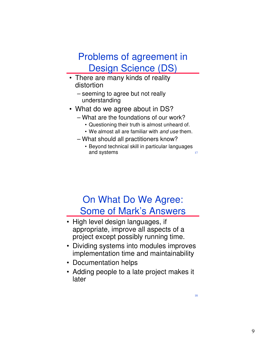# Problems of agreement in Design Science (DS)

- There are many kinds of reality distortion
	- seeming to agree but not really understanding
- What do we agree about in DS?
	- What are the foundations of our work?
		- Questioning their truth is almost unheard of.
		- We almost all are familiar with and use them.
	- What should all practitioners know?
		- Beyond technical skill in particular languages and systems

# On What Do We Agree: Some of Mark's Answers

- High level design languages, if appropriate, improve all aspects of a project except possibly running time.
- Dividing systems into modules improves implementation time and maintainability
- Documentation helps
- Adding people to a late project makes it later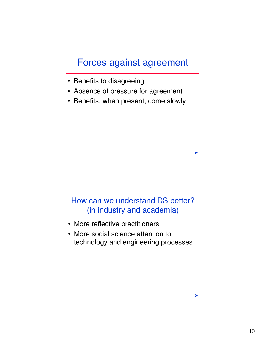## Forces against agreement

- Benefits to disagreeing
- Absence of pressure for agreement
- Benefits, when present, come slowly

#### How can we understand DS better? (in industry and academia)

- More reflective practitioners
- More social science attention to technology and engineering processes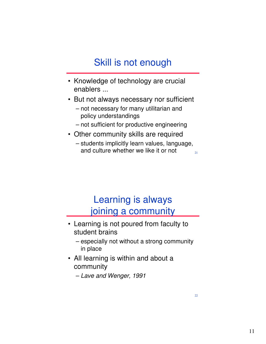# Skill is not enough

- Knowledge of technology are crucial enablers ...
- But not always necessary nor sufficient
	- not necessary for many utilitarian and policy understandings
	- not sufficient for productive engineering
- Other community skills are required
	- 21 – students implicitly learn values, language, and culture whether we like it or not

## Learning is always joining a community

- Learning is not poured from faculty to student brains
	- especially not without a strong community in place
- All learning is within and about a community

– Lave and Wenger, 1991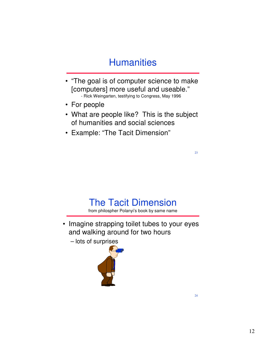# **Humanities**

- "The goal is of computer science to make [computers] more useful and useable." - Rick Weingarten, testifying to Congress, May 1996
- For people
- What are people like? This is the subject of humanities and social sciences
- Example: "The Tacit Dimension"

The Tacit Dimension

from philospher Polanyi's book by same name

- Imagine strapping toilet tubes to your eyes and walking around for two hours
	- lots of surprises

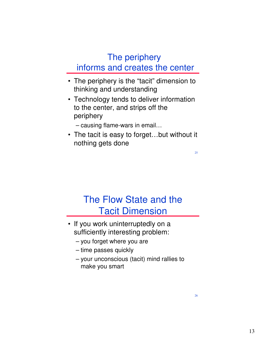#### The periphery informs and creates the center

- The periphery is the "tacit" dimension to thinking and understanding
- Technology tends to deliver information to the center, and strips off the periphery
	- causing flame-wars in email…
- The tacit is easy to forget…but without it nothing gets done

# The Flow State and the Tacit Dimension

- If you work uninterruptedly on a sufficiently interesting problem:
	- you forget where you are
	- time passes quickly
	- your unconscious (tacit) mind rallies to make you smart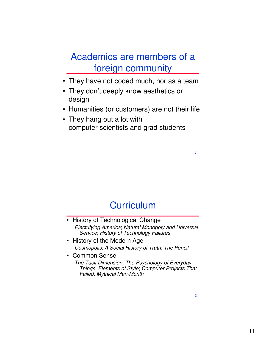# Academics are members of a foreign community

- They have not coded much, nor as a team
- They don't deeply know aesthetics or design
- Humanities (or customers) are not their life
- They hang out a lot with computer scientists and grad students

**Curriculum** 

- History of Technological Change Electrifying America; Natural Monopoly and Universal Service; History of Technology Failures
- History of the Modern Age Cosmopolis; A Social History of Truth; The Pencil
- Common Sense The Tacit Dimension; The Psychology of Everyday Things; Elements of Style; Computer Projects That Failed; Mythical Man-Month

28